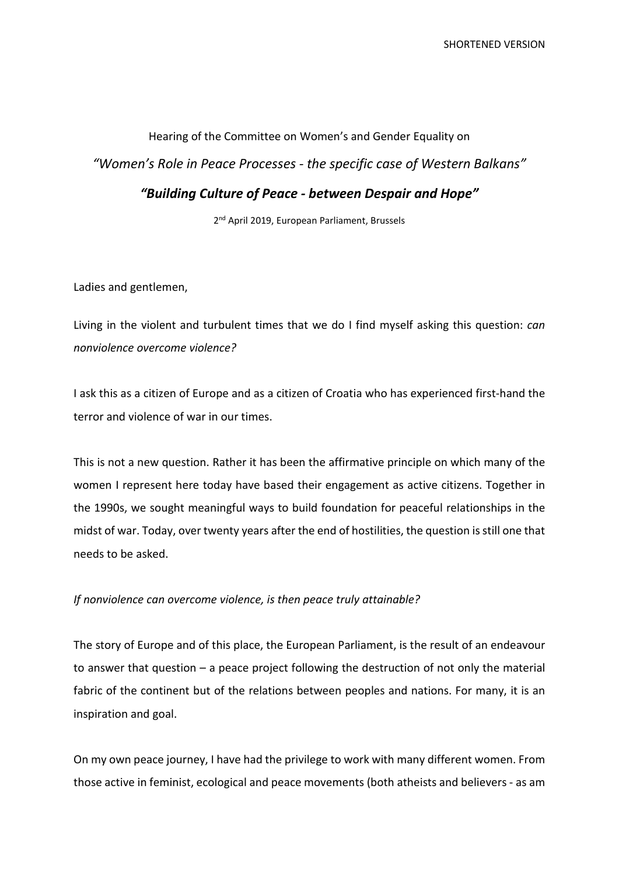## Hearing of the Committee on Women's and Gender Equality on *"Women's Role in Peace Processes - the specific case of Western Balkans" "Building Culture of Peace - between Despair and Hope"*

2<sup>nd</sup> April 2019, European Parliament, Brussels

Ladies and gentlemen,

Living in the violent and turbulent times that we do I find myself asking this question: *can nonviolence overcome violence?*

I ask this as a citizen of Europe and as a citizen of Croatia who has experienced first-hand the terror and violence of war in our times.

This is not a new question. Rather it has been the affirmative principle on which many of the women I represent here today have based their engagement as active citizens. Together in the 1990s, we sought meaningful ways to build foundation for peaceful relationships in the midst of war. Today, over twenty years after the end of hostilities, the question is still one that needs to be asked.

## *If nonviolence can overcome violence, is then peace truly attainable?*

The story of Europe and of this place, the European Parliament, is the result of an endeavour to answer that question – a peace project following the destruction of not only the material fabric of the continent but of the relations between peoples and nations. For many, it is an inspiration and goal.

On my own peace journey, I have had the privilege to work with many different women. From those active in feminist, ecological and peace movements (both atheists and believers - as am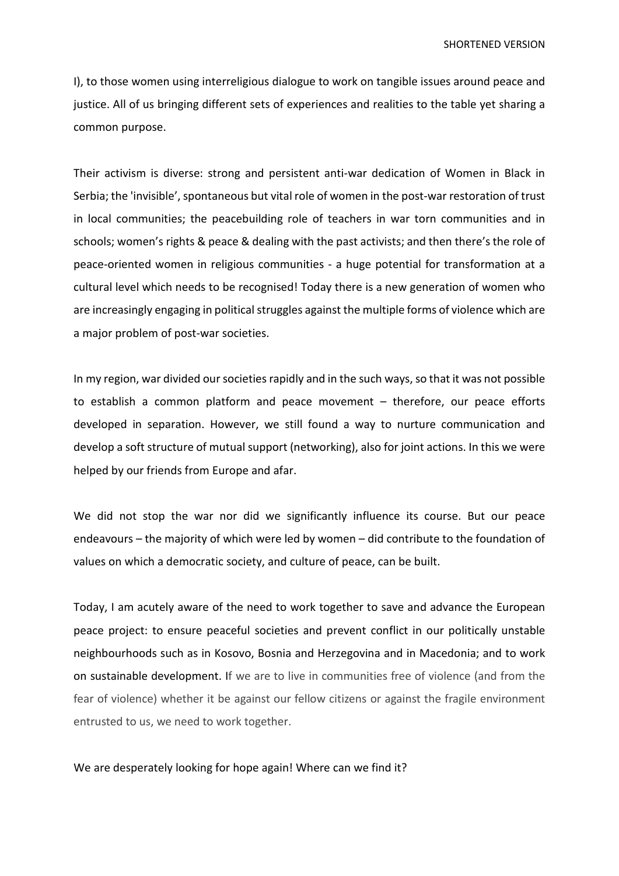I), to those women using interreligious dialogue to work on tangible issues around peace and justice. All of us bringing different sets of experiences and realities to the table yet sharing a common purpose.

Their activism is diverse: strong and persistent anti-war dedication of Women in Black in Serbia; the 'invisible', spontaneous but vital role of women in the post-war restoration of trust in local communities; the peacebuilding role of teachers in war torn communities and in schools; women's rights & peace & dealing with the past activists; and then there's the role of peace-oriented women in religious communities - a huge potential for transformation at a cultural level which needs to be recognised! Today there is a new generation of women who are increasingly engaging in political struggles against the multiple forms of violence which are a major problem of post-war societies.

In my region, war divided our societies rapidly and in the such ways, so that it was not possible to establish a common platform and peace movement – therefore, our peace efforts developed in separation. However, we still found a way to nurture communication and develop a soft structure of mutual support (networking), also for joint actions. In this we were helped by our friends from Europe and afar.

We did not stop the war nor did we significantly influence its course. But our peace endeavours – the majority of which were led by women – did contribute to the foundation of values on which a democratic society, and culture of peace, can be built.

Today, I am acutely aware of the need to work together to save and advance the European peace project: to ensure peaceful societies and prevent conflict in our politically unstable neighbourhoods such as in Kosovo, Bosnia and Herzegovina and in Macedonia; and to work on sustainable development. If we are to live in communities free of violence (and from the fear of violence) whether it be against our fellow citizens or against the fragile environment entrusted to us, we need to work together.

We are desperately looking for hope again! Where can we find it?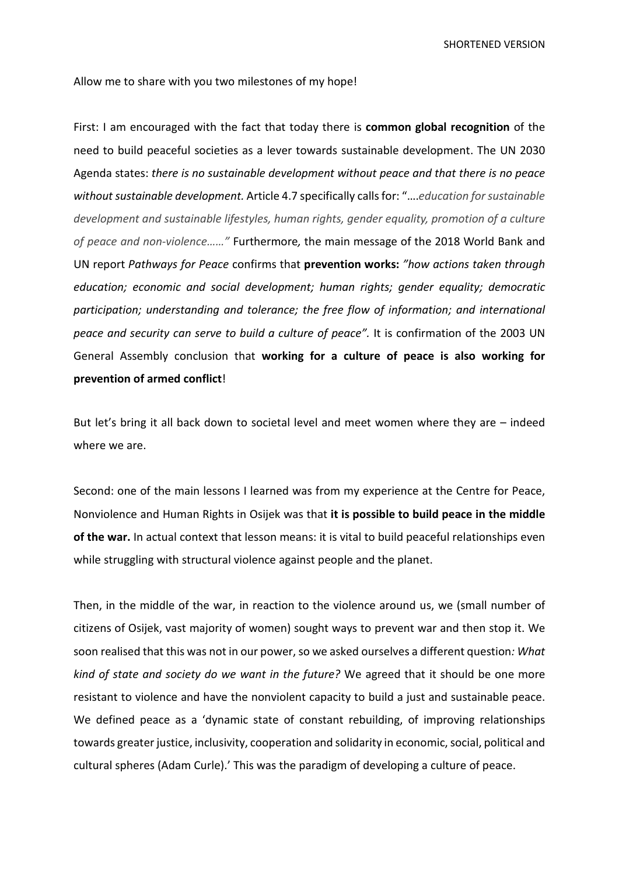SHORTENED VERSION

Allow me to share with you two milestones of my hope!

First: I am encouraged with the fact that today there is **common global recognition** of the need to build peaceful societies as a lever towards sustainable development. The UN 2030 Agenda states: *there is no sustainable development without peace and that there is no peace without sustainable development.* Article 4.7 specifically calls for: "….*education for sustainable development and sustainable lifestyles, human rights, gender equality, promotion of a culture of peace and non-violence……"* Furthermore*,* the main message of the 2018 World Bank and UN report *Pathways for Peace* confirms that **prevention works:** *"how actions taken through education; economic and social development; human rights; gender equality; democratic participation; understanding and tolerance; the free flow of information; and international peace and security can serve to build a culture of peace".* It is confirmation of the 2003 UN General Assembly conclusion that **working for a culture of peace is also working for prevention of armed conflict**!

But let's bring it all back down to societal level and meet women where they are – indeed where we are.

Second: one of the main lessons I learned was from my experience at the Centre for Peace, Nonviolence and Human Rights in Osijek was that **it is possible to build peace in the middle of the war.** In actual context that lesson means: it is vital to build peaceful relationships even while struggling with structural violence against people and the planet.

Then, in the middle of the war, in reaction to the violence around us, we (small number of citizens of Osijek, vast majority of women) sought ways to prevent war and then stop it. We soon realised that this was not in our power, so we asked ourselves a different question*: What kind of state and society do we want in the future?* We agreed that it should be one more resistant to violence and have the nonviolent capacity to build a just and sustainable peace. We defined peace as a 'dynamic state of constant rebuilding, of improving relationships towards greater justice, inclusivity, cooperation and solidarity in economic, social, political and cultural spheres (Adam Curle).' This was the paradigm of developing a culture of peace.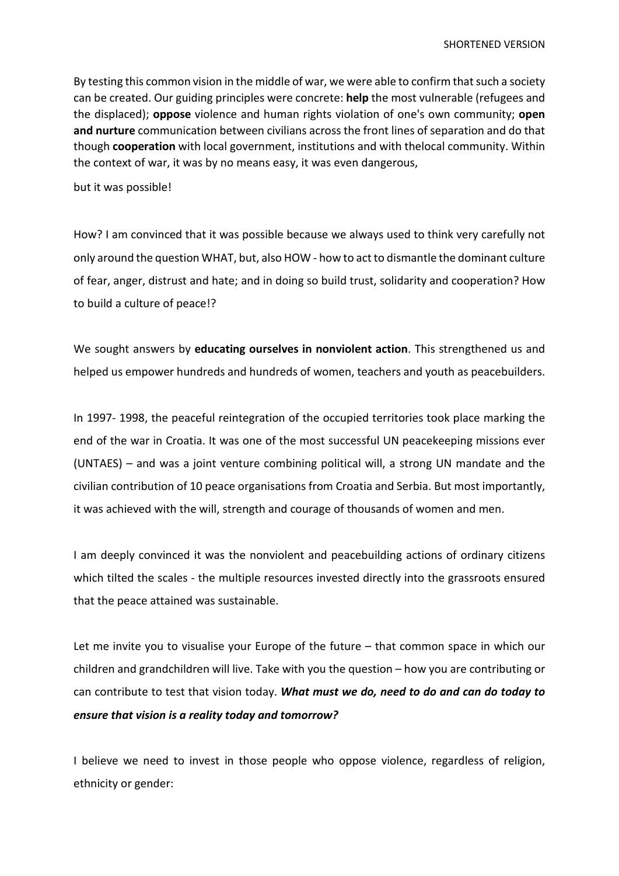By testing this common vision in the middle of war, we were able to confirm that such a society can be created. Our guiding principles were concrete: **help** the most vulnerable (refugees and the displaced); **oppose** violence and human rights violation of one's own community; **open and nurture** communication between civilians across the front lines of separation and do that though **cooperation** with local government, institutions and with thelocal community. Within the context of war, it was by no means easy, it was even dangerous,

but it was possible!

How? I am convinced that it was possible because we always used to think very carefully not only around the question WHAT, but, also HOW - how to act to dismantle the dominant culture of fear, anger, distrust and hate; and in doing so build trust, solidarity and cooperation? How to build a culture of peace!?

We sought answers by **educating ourselves in nonviolent action**. This strengthened us and helped us empower hundreds and hundreds of women, teachers and youth as peacebuilders.

In 1997- 1998, the peaceful reintegration of the occupied territories took place marking the end of the war in Croatia. It was one of the most successful UN peacekeeping missions ever (UNTAES) – and was a joint venture combining political will, a strong UN mandate and the civilian contribution of 10 peace organisations from Croatia and Serbia. But most importantly, it was achieved with the will, strength and courage of thousands of women and men.

I am deeply convinced it was the nonviolent and peacebuilding actions of ordinary citizens which tilted the scales - the multiple resources invested directly into the grassroots ensured that the peace attained was sustainable.

Let me invite you to visualise your Europe of the future – that common space in which our children and grandchildren will live. Take with you the question – how you are contributing or can contribute to test that vision today. *What must we do, need to do and can do today to ensure that vision is a reality today and tomorrow?*

I believe we need to invest in those people who oppose violence, regardless of religion, ethnicity or gender: